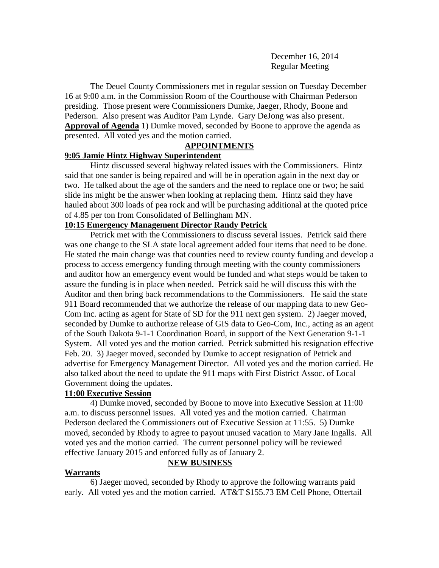December 16, 2014 Regular Meeting

The Deuel County Commissioners met in regular session on Tuesday December 16 at 9:00 a.m. in the Commission Room of the Courthouse with Chairman Pederson presiding. Those present were Commissioners Dumke, Jaeger, Rhody, Boone and Pederson. Also present was Auditor Pam Lynde. Gary DeJong was also present. **Approval of Agenda** 1) Dumke moved, seconded by Boone to approve the agenda as presented. All voted yes and the motion carried.

# **APPOINTMENTS**

#### **9:05 Jamie Hintz Highway Superintendent**

Hintz discussed several highway related issues with the Commissioners. Hintz said that one sander is being repaired and will be in operation again in the next day or two. He talked about the age of the sanders and the need to replace one or two; he said slide ins might be the answer when looking at replacing them. Hintz said they have hauled about 300 loads of pea rock and will be purchasing additional at the quoted price of 4.85 per ton from Consolidated of Bellingham MN.

# **10:15 Emergency Management Director Randy Petrick**

Petrick met with the Commissioners to discuss several issues. Petrick said there was one change to the SLA state local agreement added four items that need to be done. He stated the main change was that counties need to review county funding and develop a process to access emergency funding through meeting with the county commissioners and auditor how an emergency event would be funded and what steps would be taken to assure the funding is in place when needed. Petrick said he will discuss this with the Auditor and then bring back recommendations to the Commissioners. He said the state 911 Board recommended that we authorize the release of our mapping data to new Geo-Com Inc. acting as agent for State of SD for the 911 next gen system. 2) Jaeger moved, seconded by Dumke to authorize release of GIS data to Geo-Com, Inc., acting as an agent of the South Dakota 9-1-1 Coordination Board, in support of the Next Generation 9-1-1 System. All voted yes and the motion carried. Petrick submitted his resignation effective Feb. 20. 3) Jaeger moved, seconded by Dumke to accept resignation of Petrick and advertise for Emergency Management Director. All voted yes and the motion carried. He also talked about the need to update the 911 maps with First District Assoc. of Local Government doing the updates.

# **11:00 Executive Session**

4) Dumke moved, seconded by Boone to move into Executive Session at 11:00 a.m. to discuss personnel issues. All voted yes and the motion carried. Chairman Pederson declared the Commissioners out of Executive Session at 11:55. 5) Dumke moved, seconded by Rhody to agree to payout unused vacation to Mary Jane Ingalls. All voted yes and the motion carried. The current personnel policy will be reviewed effective January 2015 and enforced fully as of January 2.

#### **Warrants**

6) Jaeger moved, seconded by Rhody to approve the following warrants paid early. All voted yes and the motion carried. AT&T \$155.73 EM Cell Phone, Ottertail

**NEW BUSINESS**